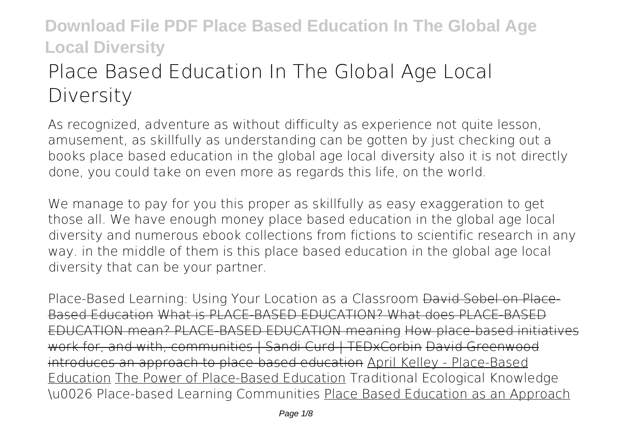# **Place Based Education In The Global Age Local Diversity**

As recognized, adventure as without difficulty as experience not quite lesson, amusement, as skillfully as understanding can be gotten by just checking out a books **place based education in the global age local diversity** also it is not directly done, you could take on even more as regards this life, on the world.

We manage to pay for you this proper as skillfully as easy exaggeration to get those all. We have enough money place based education in the global age local diversity and numerous ebook collections from fictions to scientific research in any way. in the middle of them is this place based education in the global age local diversity that can be your partner.

*Place-Based Learning: Using Your Location as a Classroom* David Sobel on Place-Based Education What is PLACE-BASED EDUCATION? What does PLACE-BASED EDUCATION mean? PLACE-BASED EDUCATION meaning How place-based initiatives work for, and with, communities | Sandi Curd | TEDxCorbin David Greenwood introduces an approach to place-based education April Kelley - Place-Based Education The Power of Place-Based Education Traditional Ecological Knowledge \u0026 Place-based Learning Communities Place Based Education as an Approach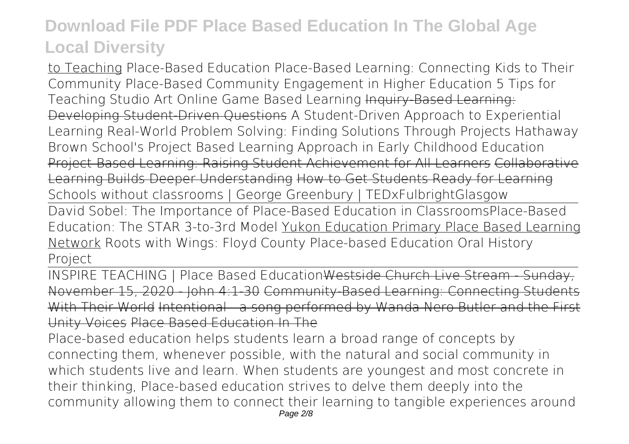to Teaching **Place-Based Education** Place-Based Learning: Connecting Kids to Their Community **Place-Based Community Engagement in Higher Education** *5 Tips for* **Teaching Studio Art Online Game Based Learning Inquiry-Based Learning:** Developing Student-Driven Questions *A Student-Driven Approach to Experiential Learning Real-World Problem Solving: Finding Solutions Through Projects* Hathaway Brown School's Project Based Learning Approach in Early Childhood Education Project-Based Learning: Raising Student Achievement for All Learners Collaborative Learning Builds Deeper Understanding How to Get Students Ready for Learning **Schools without classrooms | George Greenbury | TEDxFulbrightGlasgow** David Sobel: The Importance of Place-Based Education in Classrooms*Place-Based*

*Education: The STAR 3-to-3rd Model* Yukon Education Primary Place Based Learning Network *Roots with Wings: Floyd County Place-based Education Oral History Project*

INSPIRE TEACHING | Place Based EducationWestside Church Live Stream November 15, 2020 - John 4:1-30 Community-Based Learning: Connecting Stud With Their World Intentional - a song performed by Wanda Nero Butler and the First Unity Voices Place Based Education In The

Place-based education helps students learn a broad range of concepts by connecting them, whenever possible, with the natural and social community in which students live and learn. When students are youngest and most concrete in their thinking, Place-based education strives to delve them deeply into the community allowing them to connect their learning to tangible experiences around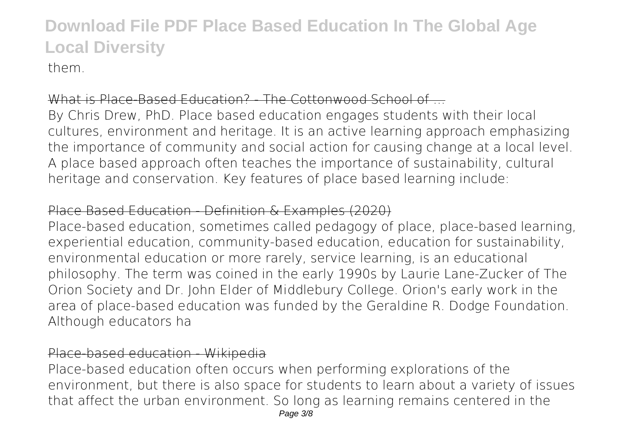them.

### What is Place-Based Education? - The Cottonwood School of

By Chris Drew, PhD. Place based education engages students with their local cultures, environment and heritage. It is an active learning approach emphasizing the importance of community and social action for causing change at a local level. A place based approach often teaches the importance of sustainability, cultural heritage and conservation. Key features of place based learning include:

### Place Based Education - Definition & Examples (2020)

Place-based education, sometimes called pedagogy of place, place-based learning, experiential education, community-based education, education for sustainability, environmental education or more rarely, service learning, is an educational philosophy. The term was coined in the early 1990s by Laurie Lane-Zucker of The Orion Society and Dr. John Elder of Middlebury College. Orion's early work in the area of place-based education was funded by the Geraldine R. Dodge Foundation. Although educators ha

### Place-based education - Wikipedia

Place-based education often occurs when performing explorations of the environment, but there is also space for students to learn about a variety of issues that affect the urban environment. So long as learning remains centered in the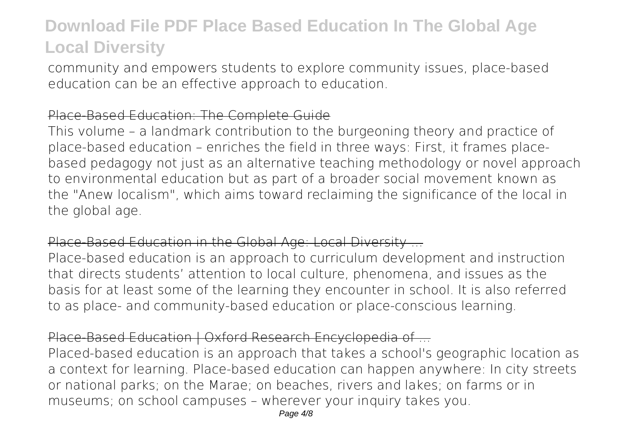community and empowers students to explore community issues, place-based education can be an effective approach to education.

### Place-Based Education: The Complete Guide

This volume – a landmark contribution to the burgeoning theory and practice of place-based education – enriches the field in three ways: First, it frames placebased pedagogy not just as an alternative teaching methodology or novel approach to environmental education but as part of a broader social movement known as the "Anew localism", which aims toward reclaiming the significance of the local in the global age.

### Place-Based Education in the Global Age: Local Diversity ...

Place-based education is an approach to curriculum development and instruction that directs students' attention to local culture, phenomena, and issues as the basis for at least some of the learning they encounter in school. It is also referred to as place- and community-based education or place-conscious learning.

### Place-Based Education | Oxford Research Encyclopedia of ...

Placed-based education is an approach that takes a school's geographic location as a context for learning. Place-based education can happen anywhere: In city streets or national parks; on the Marae; on beaches, rivers and lakes; on farms or in museums; on school campuses – wherever your inquiry takes you.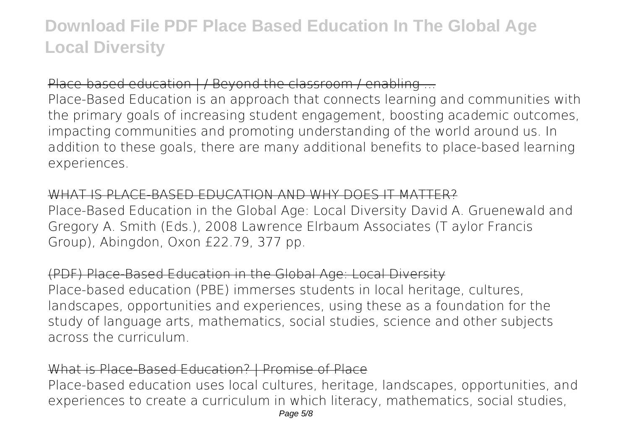### Place-based education | / Beyond the classroom / enabling ...

Place-Based Education is an approach that connects learning and communities with the primary goals of increasing student engagement, boosting academic outcomes, impacting communities and promoting understanding of the world around us. In addition to these goals, there are many additional benefits to place-based learning experiences.

### WHAT IS PLACE-BASED EDUCATION AND WHY DOES IT MATTER?

Place-Based Education in the Global Age: Local Diversity David A. Gruenewald and Gregory A. Smith (Eds.), 2008 Lawrence Elrbaum Associates (T aylor Francis Group), Abingdon, Oxon £22.79, 377 pp.

(PDF) Place-Based Education in the Global Age: Local Diversity Place-based education (PBE) immerses students in local heritage, cultures, landscapes, opportunities and experiences, using these as a foundation for the study of language arts, mathematics, social studies, science and other subjects across the curriculum.

### What is Place-Based Education? | Promise of Place

Place-based education uses local cultures, heritage, landscapes, opportunities, and experiences to create a curriculum in which literacy, mathematics, social studies,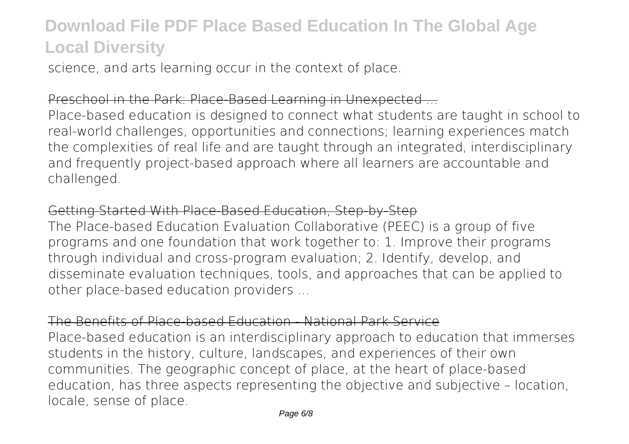science, and arts learning occur in the context of place.

### Preschool in the Park: Place-Based Learning in Unexpected ...

Place-based education is designed to connect what students are taught in school to real-world challenges, opportunities and connections; learning experiences match the complexities of real life and are taught through an integrated, interdisciplinary and frequently project-based approach where all learners are accountable and challenged.

### Getting Started With Place-Based Education, Step-by-Step

The Place-based Education Evaluation Collaborative (PEEC) is a group of five programs and one foundation that work together to: 1. Improve their programs through individual and cross-program evaluation; 2. Identify, develop, and disseminate evaluation techniques, tools, and approaches that can be applied to other place-based education providers ...

### The Benefits of Place-based Education - National Park Service

Place-based education is an interdisciplinary approach to education that immerses students in the history, culture, landscapes, and experiences of their own communities. The geographic concept of place, at the heart of place-based education, has three aspects representing the objective and subjective – location, locale, sense of place.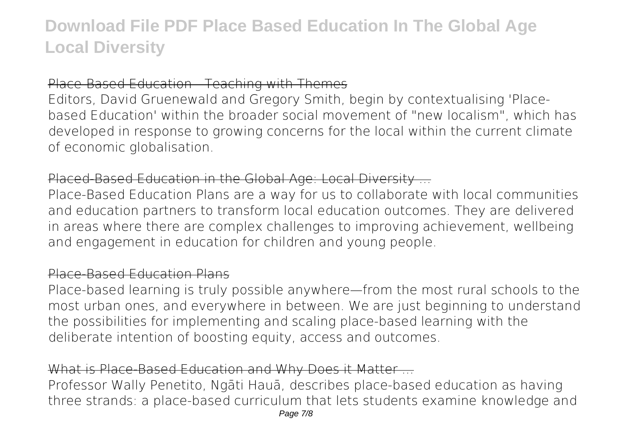Place-Based Education - Teaching with Themes

Editors, David Gruenewald and Gregory Smith, begin by contextualising 'Placebased Education' within the broader social movement of "new localism", which has developed in response to growing concerns for the local within the current climate of economic globalisation.

### Placed-Based Education in the Global Age: Local Diversity ...

Place-Based Education Plans are a way for us to collaborate with local communities and education partners to transform local education outcomes. They are delivered in areas where there are complex challenges to improving achievement, wellbeing and engagement in education for children and young people.

#### Place-Based Education Plans

Place-based learning is truly possible anywhere—from the most rural schools to the most urban ones, and everywhere in between. We are just beginning to understand the possibilities for implementing and scaling place-based learning with the deliberate intention of boosting equity, access and outcomes.

### What is Place-Based Education and Why Does it Matter ...

Professor Wally Penetito, Ngāti Hauā, describes place-based education as having three strands: a place-based curriculum that lets students examine knowledge and